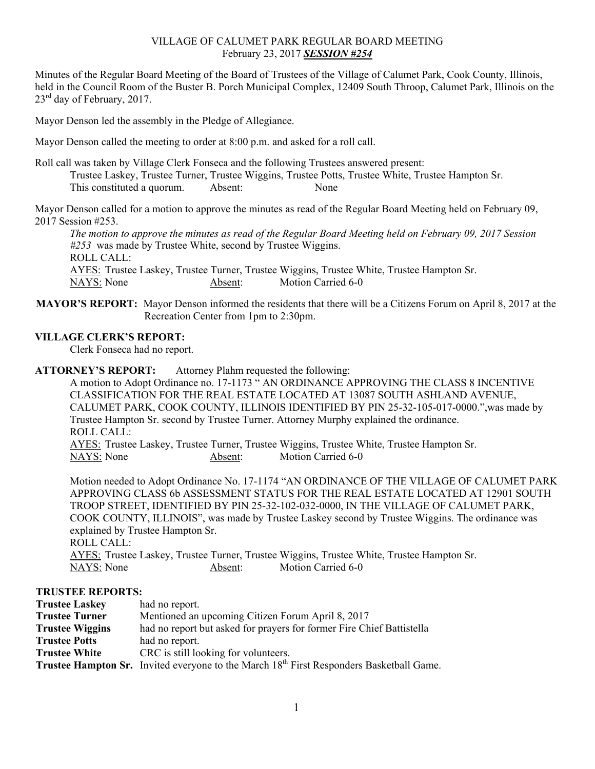## VILLAGE OF CALUMET PARK REGULAR BOARD MEETING February 23, 2017 *SESSION #254*

Minutes of the Regular Board Meeting of the Board of Trustees of the Village of Calumet Park, Cook County, Illinois, held in the Council Room of the Buster B. Porch Municipal Complex, 12409 South Throop, Calumet Park, Illinois on the  $23<sup>rd</sup>$  day of February, 2017.

Mayor Denson led the assembly in the Pledge of Allegiance.

Mayor Denson called the meeting to order at 8:00 p.m. and asked for a roll call.

Roll call was taken by Village Clerk Fonseca and the following Trustees answered present: Trustee Laskey, Trustee Turner, Trustee Wiggins, Trustee Potts, Trustee White, Trustee Hampton Sr. This constituted a quorum. Absent: None

Mayor Denson called for a motion to approve the minutes as read of the Regular Board Meeting held on February 09, 2017 Session #253.

*The motion to approve the minutes as read of the Regular Board Meeting held on February 09, 2017 Session #253* was made by Trustee White, second by Trustee Wiggins. ROLL CALL: AYES: Trustee Laskey, Trustee Turner, Trustee Wiggins, Trustee White, Trustee Hampton Sr. NAYS: None Absent: Motion Carried 6-0

**MAYOR'S REPORT:** Mayor Denson informed the residents that there will be a Citizens Forum on April 8, 2017 at the Recreation Center from 1pm to 2:30pm.

## **VILLAGE CLERK'S REPORT:**

Clerk Fonseca had no report.

**ATTORNEY'S REPORT:** Attorney Plahm requested the following:

A motion to Adopt Ordinance no. 17-1173 " AN ORDINANCE APPROVING THE CLASS 8 INCENTIVE CLASSIFICATION FOR THE REAL ESTATE LOCATED AT 13087 SOUTH ASHLAND AVENUE, CALUMET PARK, COOK COUNTY, ILLINOIS IDENTIFIED BY PIN 25-32-105-017-0000.",was made by Trustee Hampton Sr. second by Trustee Turner. Attorney Murphy explained the ordinance. ROLL CALL:

 AYES: Trustee Laskey, Trustee Turner, Trustee Wiggins, Trustee White, Trustee Hampton Sr. NAYS: None Absent: Motion Carried 6-0

Motion needed to Adopt Ordinance No. 17-1174 "AN ORDINANCE OF THE VILLAGE OF CALUMET PARK APPROVING CLASS 6b ASSESSMENT STATUS FOR THE REAL ESTATE LOCATED AT 12901 SOUTH TROOP STREET, IDENTIFIED BY PIN 25-32-102-032-0000, IN THE VILLAGE OF CALUMET PARK, COOK COUNTY, ILLINOIS", was made by Trustee Laskey second by Trustee Wiggins. The ordinance was explained by Trustee Hampton Sr. ROLL CALL: AYES: Trustee Laskey, Trustee Turner, Trustee Wiggins, Trustee White, Trustee Hampton Sr.

## **TRUSTEE REPORTS:**

| <b>Trustee Laskey</b>  | had no report.                                                                                       |
|------------------------|------------------------------------------------------------------------------------------------------|
| <b>Trustee Turner</b>  | Mentioned an upcoming Citizen Forum April 8, 2017                                                    |
| <b>Trustee Wiggins</b> | had no report but asked for prayers for former Fire Chief Battistella                                |
| <b>Trustee Potts</b>   | had no report.                                                                                       |
| <b>Trustee White</b>   | CRC is still looking for volunteers.                                                                 |
|                        | Trustee Hampton Sr. Invited everyone to the March 18 <sup>th</sup> First Responders Basketball Game. |

NAYS: None Absent: Motion Carried 6-0